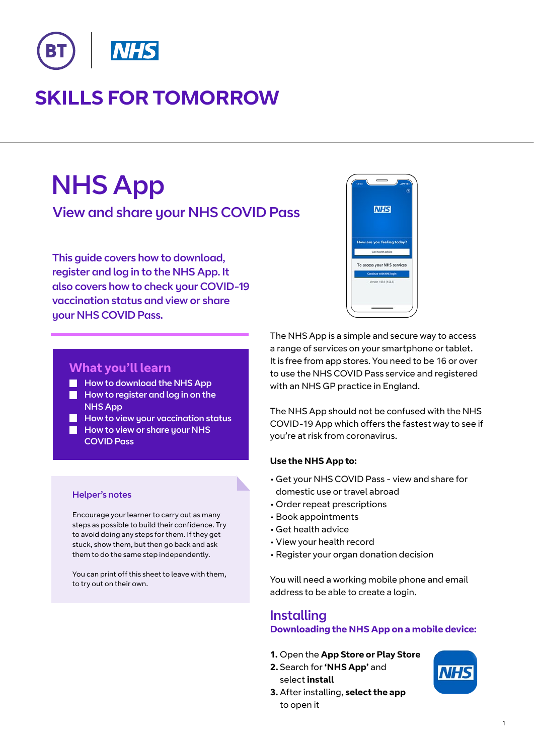

# **SKILLS FOR TOMORROW**

# NHS App

View and share your NHS COVID Pass

This guide covers how to download, register and log in to the NHS App. It also covers how to check your COVID-19 vaccination status and view or share your NHS COVID Pass.



#### **What you'll learn**

- How to download the NHS App
- **How to register and log in on the** NHS App
- $\blacksquare$  How to view your vaccination status
- How to view or share your NHS COVID Pass

#### Helper's notes

Encourage your learner to carry out as many steps as possible to build their confidence. Try to avoid doing any steps for them. If they get stuck, show them, but then go back and ask them to do the same step independently.

You can print off this sheet to leave with them, to try out on their own.

The NHS App is a simple and secure way to access a range of services on your smartphone or tablet. It is free from app stores. You need to be 16 or over to use the NHS COVID Pass service and registered with an NHS GP practice in England.

The NHS App should not be confused with the NHS COVID-19 App which offers the fastest way to see if you're at risk from coronavirus.

#### **Use the NHS App to:**

- Get your NHS COVID Pass view and share for domestic use or travel abroad
- Order repeat prescriptions
- Book appointments
- Get health advice
- View your health record
- Register your organ donation decision

You will need a working mobile phone and email address to be able to create a login.

#### Installing **Downloading the NHS App on a mobile device:**

- **1.** Open the **App Store or Play Store**
- **2.** Search for **'NHS App'** and select **install**



**3.** After installing, **select the app** to open it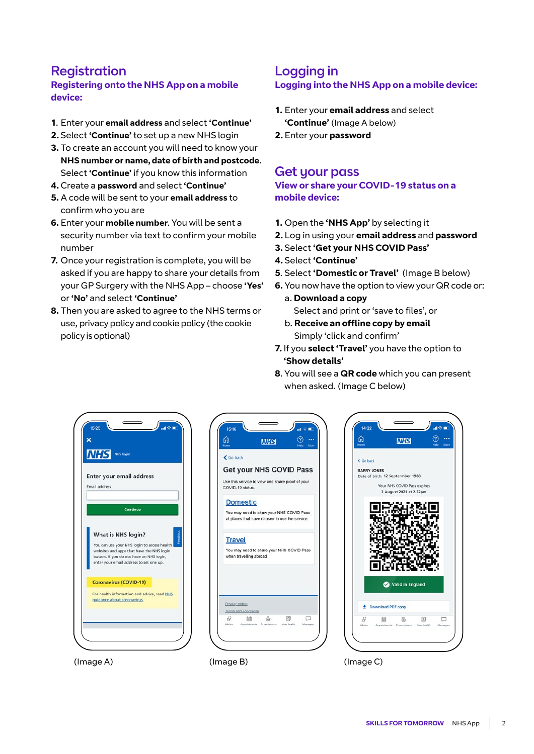## Registration

#### **Registering onto the NHS App on a mobile device:**

- **1**. Enter your **email address** and select **'Continue'**
- **2.** Select **'Continue'** to set up a new NHS login
- **3.** To create an account you will need to know your **NHS number or name, date of birth and postcode**. Select **'Continue'** if you know this information
- **4.** Create a **password** and select **'Continue'**
- **5.** A code will be sent to your **email address** to confirm who you are
- **6.** Enter your **mobile number**. You will be sent a security number via text to confirm your mobile number
- **7.** Once your registration is complete, you will be asked if you are happy to share your details from your GP Surgery with the NHS App – choose **'Yes'** or **'No'** and select **'Continue'**
- **8.** Then you are asked to agree to the NHS terms or use, privacy policy and cookie policy (the cookie policy is optional)

#### Logging in **Logging into the NHS App on a mobile device:**

- **1.** Enter your **email address** and select **'Continue'** (Image A below)
- **2.** Enter your **password**

#### Get your pass

**View or share your COVID-19 status on a mobile device:**

- **1.** Open the **'NHS App'** by selecting it
- **2.** Log in using your **email address** and **password**
- **3.** Select **'Get your NHS COVID Pass'**
- **4.** Select **'Continue'**
- **5**. Select **'Domestic or Travel'** (Image B below)
- **6.** You now have the option to view your QR code or:
- a. **Download a copy** Select and print or 'save to files', or
- b. **Receive an offline copy by email** Simply 'click and confirm'
- **7.** If you **select 'Travel'** you have the option to **'Show details'**
- **8**. You will see a **QR code** which you can present when asked. (Image C below)



|                      | <b>NHS</b>                                                                                 | <br>More |
|----------------------|--------------------------------------------------------------------------------------------|----------|
| ← Go back            |                                                                                            |          |
|                      | Get your NHS COVID Pass                                                                    |          |
| COVID-19 status.     | Use this service to view and share proof of your                                           |          |
| <b>Domestic</b>      |                                                                                            |          |
|                      | You may need to show your NHS COVID Pass<br>at places that have chosen to use the service. |          |
| <b>Travel</b>        |                                                                                            |          |
|                      | You may need to share your NHS COVID Pass                                                  |          |
|                      | when travelling abroad                                                                     |          |
|                      |                                                                                            |          |
|                      |                                                                                            |          |
| Privacy notice       |                                                                                            |          |
| Terms and conditions |                                                                                            |          |



(Image A) (Image B) (Image C)